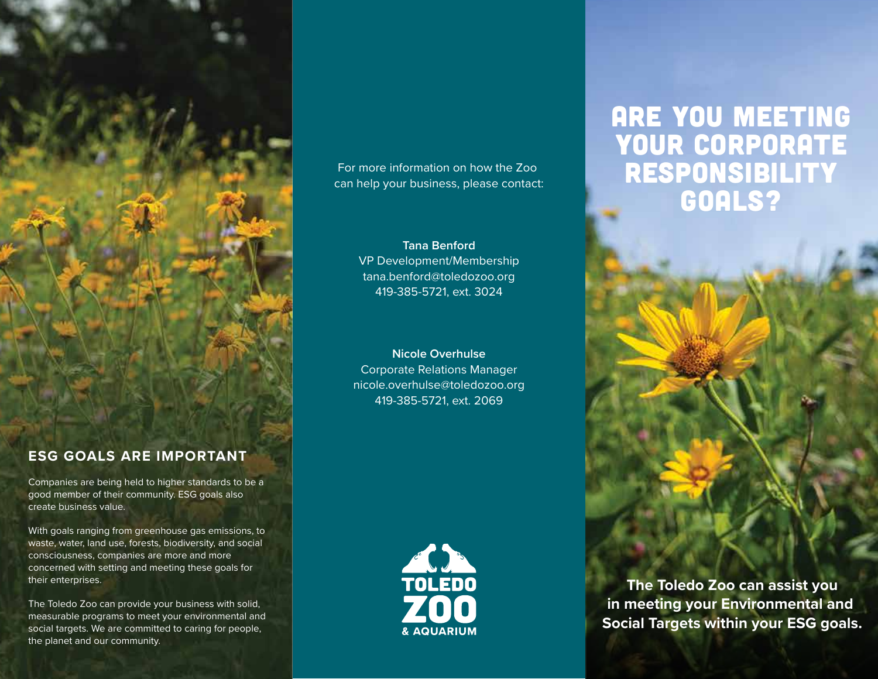

# **ESG GOALS ARE IMPORTANT**

Companies are being held to higher standards to be a good member of their community. ESG goals also create business value.

With goals ranging from greenhouse gas emissions, to waste, water, land use, forests, biodiversity, and social consciousness, companies are more and more concerned with setting and meeting these goals for their enterprises.

The Toledo Zoo can provide your business with solid, measurable programs to meet your environmental and social targets. We are committed to caring for people, the planet and our community.

## For more information on how the Zoo can help your business, please contact:

# **Tana Benford** VP Development/Membership tana.benford@toledozoo.org 419-385-5721, ext. 3024

**Nicole Overhulse** Corporate Relations Manager nicole.overhulse@toledozoo.org 419-385-5721, ext. 2069



# Are you meeting your corporate responsibility GOALS?

 **The Toledo Zoo can assist you in meeting your Environmental and Social Targets within your ESG goals.**